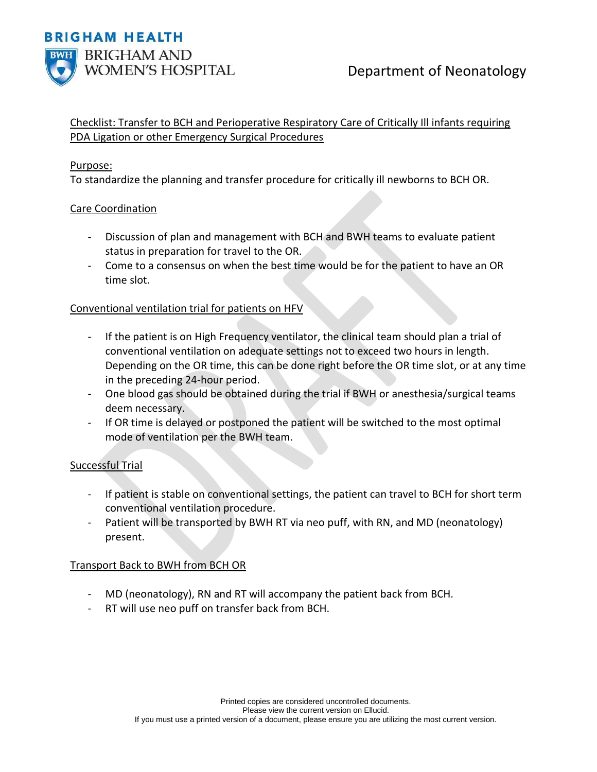

# Checklist: Transfer to BCH and Perioperative Respiratory Care of Critically Ill infants requiring PDA Ligation or other Emergency Surgical Procedures

#### Purpose:

To standardize the planning and transfer procedure for critically ill newborns to BCH OR.

# Care Coordination

- Discussion of plan and management with BCH and BWH teams to evaluate patient status in preparation for travel to the OR.
- Come to a consensus on when the best time would be for the patient to have an OR time slot.

#### Conventional ventilation trial for patients on HFV

- If the patient is on High Frequency ventilator, the clinical team should plan a trial of conventional ventilation on adequate settings not to exceed two hours in length. Depending on the OR time, this can be done right before the OR time slot, or at any time in the preceding 24-hour period.
- One blood gas should be obtained during the trial if BWH or anesthesia/surgical teams deem necessary.
- If OR time is delayed or postponed the patient will be switched to the most optimal mode of ventilation per the BWH team.

# Successful Trial

- If patient is stable on conventional settings, the patient can travel to BCH for short term conventional ventilation procedure.
- Patient will be transported by BWH RT via neo puff, with RN, and MD (neonatology) present.

# Transport Back to BWH from BCH OR

- MD (neonatology), RN and RT will accompany the patient back from BCH.
- RT will use neo puff on transfer back from BCH.